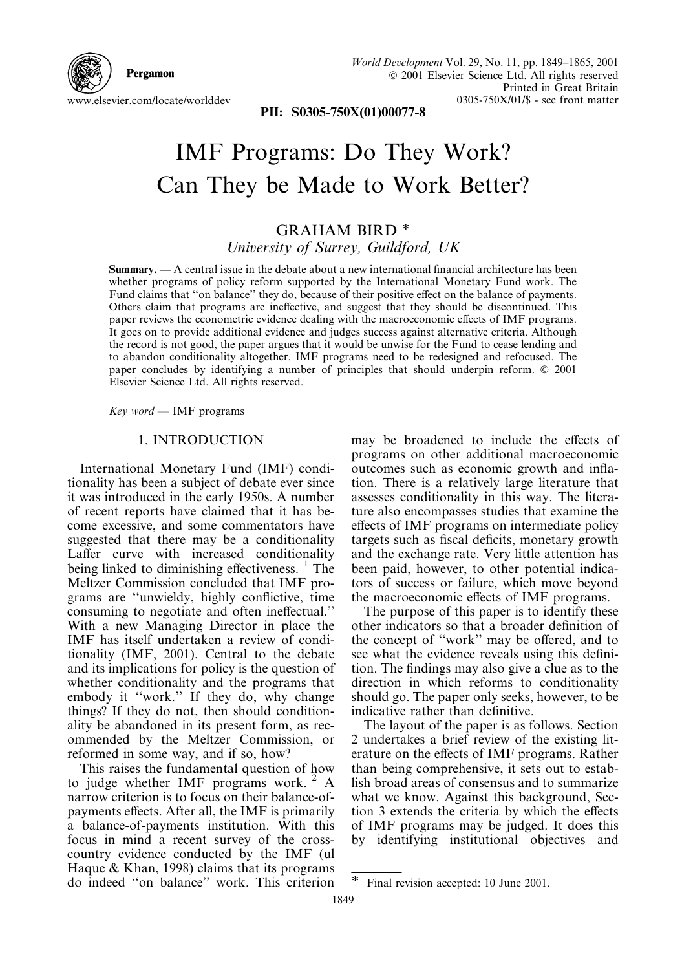

World Development Vol. 29, No. 11, pp. 1849-1865, 2001 © 2001 Elsevier Science Ltd. All rights reserved Printed in Great Britain  $0305-750X/01/S$  - see front matter

PII: S0305-750X(01)00077-8

# **IMF Programs: Do They Work?** Can They be Made to Work Better?

### **GRAHAM BIRD\*** University of Surrey, Guildford, UK

**Summary.** — A central issue in the debate about a new international financial architecture has been whether programs of policy reform supported by the International Monetary Fund work. The Fund claims that "on balance" they do, because of their positive effect on the balance of payments. Others claim that programs are ineffective, and suggest that they should be discontinued. This paper reviews the econometric evidence dealing with the macroeconomic effects of IMF programs. It goes on to provide additional evidence and judges success against alternative criteria. Although the record is not good, the paper argues that it would be unwise for the Fund to cease lending and to abandon conditionality altogether. IMF programs need to be redesigned and refocused. The paper concludes by identifying a number of principles that should underpin reform. © 2001 Elsevier Science Ltd. All rights reserved.

 $Key$  word – IMF programs

#### 1. INTRODUCTION

International Monetary Fund (IMF) conditionality has been a subject of debate ever since it was introduced in the early 1950s. A number of recent reports have claimed that it has become excessive, and some commentators have suggested that there may be a conditionality Laffer curve with increased conditionality being linked to diminishing effectiveness. <sup>1</sup> The Meltzer Commission concluded that IMF programs are "unwieldy, highly conflictive, time consuming to negotiate and often ineffectual." With a new Managing Director in place the IMF has itself undertaken a review of conditionality (IMF, 2001). Central to the debate and its implications for policy is the question of whether conditionality and the programs that embody it "work." If they do, why change things? If they do not, then should conditionality be abandoned in its present form, as recommended by the Meltzer Commission, or reformed in some way, and if so, how?

This raises the fundamental question of how to judge whether IMF programs work.<sup>2</sup> A narrow criterion is to focus on their balance-ofpayments effects. After all, the IMF is primarily a balance-of-payments institution. With this focus in mind a recent survey of the crosscountry evidence conducted by the IMF (ul Haque & Khan, 1998) claims that its programs do indeed "on balance" work. This criterion may be broadened to include the effects of programs on other additional macroeconomic outcomes such as economic growth and inflation. There is a relatively large literature that assesses conditionality in this way. The literature also encompasses studies that examine the effects of IMF programs on intermediate policy targets such as fiscal deficits, monetary growth and the exchange rate. Very little attention has been paid, however, to other potential indicators of success or failure, which move beyond the macroeconomic effects of IMF programs.

The purpose of this paper is to identify these other indicators so that a broader definition of the concept of "work" may be offered, and to see what the evidence reveals using this definition. The findings may also give a clue as to the direction in which reforms to conditionality should go. The paper only seeks, however, to be indicative rather than definitive.

The layout of the paper is as follows. Section 2 undertakes a brief review of the existing literature on the effects of IMF programs. Rather than being comprehensive, it sets out to establish broad areas of consensus and to summarize what we know. Against this background, Section 3 extends the criteria by which the effects of IMF programs may be judged. It does this by identifying institutional objectives and

Final revision accepted: 10 June 2001.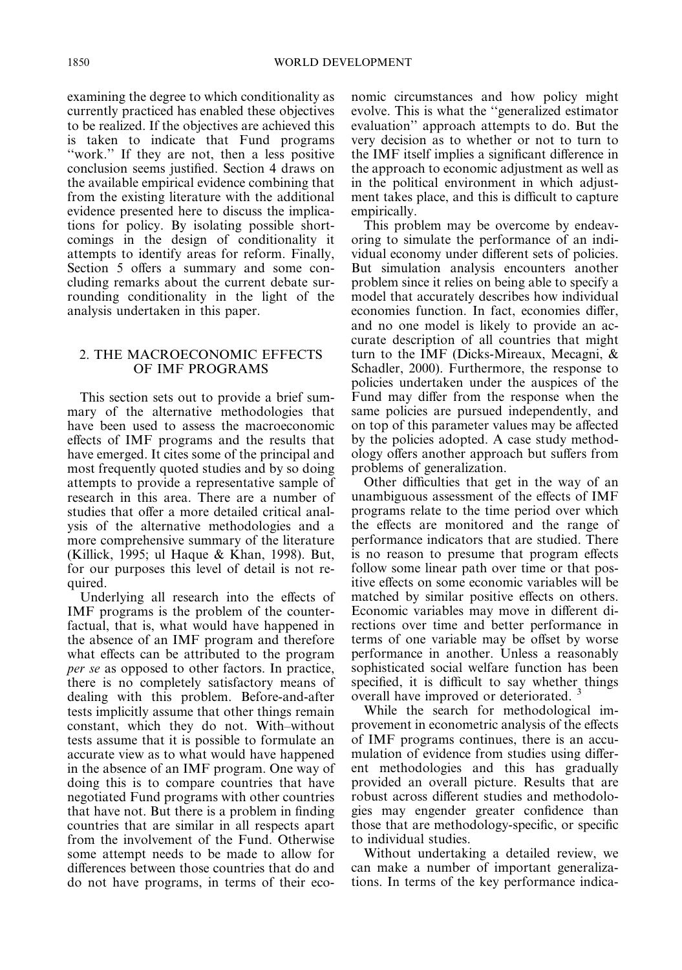examining the degree to which conditionality as currently practiced has enabled these objectives to be realized. If the objectives are achieved this is taken to indicate that Fund programs "work." If they are not, then a less positive conclusion seems justified. Section 4 draws on the available empirical evidence combining that from the existing literature with the additional evidence presented here to discuss the implications for policy. By isolating possible shortcomings in the design of conditionality it attempts to identify areas for reform. Finally, Section 5 offers a summary and some concluding remarks about the current debate surrounding conditionality in the light of the analysis undertaken in this paper.

#### 2. THE MACROECONOMIC EFFECTS OF IMF PROGRAMS

This section sets out to provide a brief summary of the alternative methodologies that have been used to assess the macroeconomic effects of IMF programs and the results that have emerged. It cites some of the principal and most frequently quoted studies and by so doing attempts to provide a representative sample of research in this area. There are a number of studies that offer a more detailed critical analysis of the alternative methodologies and a more comprehensive summary of the literature (Killick, 1995; ul Haque & Khan, 1998). But, for our purposes this level of detail is not required.

Underlying all research into the effects of IMF programs is the problem of the counterfactual, that is, what would have happened in the absence of an IMF program and therefore what effects can be attributed to the program *per se* as opposed to other factors. In practice, there is no completely satisfactory means of dealing with this problem. Before-and-after tests implicitly assume that other things remain constant, which they do not. With-without tests assume that it is possible to formulate an accurate view as to what would have happened in the absence of an IMF program. One way of doing this is to compare countries that have negotiated Fund programs with other countries that have not. But there is a problem in finding countries that are similar in all respects apart from the involvement of the Fund. Otherwise some attempt needs to be made to allow for differences between those countries that do and do not have programs, in terms of their economic circumstances and how policy might evolve. This is what the "generalized estimator" evaluation" approach attempts to do. But the very decision as to whether or not to turn to the IMF itself implies a significant difference in the approach to economic adjustment as well as in the political environment in which adjustment takes place, and this is difficult to capture empirically.

This problem may be overcome by endeayoring to simulate the performance of an individual economy under different sets of policies. But simulation analysis encounters another problem since it relies on being able to specify a model that accurately describes how individual economies function. In fact, economies differ. and no one model is likely to provide an accurate description of all countries that might turn to the IMF (Dicks-Mireaux, Mecagni, & Schadler, 2000). Furthermore, the response to policies undertaken under the auspices of the Fund may differ from the response when the same policies are pursued independently, and on top of this parameter values may be affected by the policies adopted. A case study methodology offers another approach but suffers from problems of generalization.

Other difficulties that get in the way of an unambiguous assessment of the effects of IMF programs relate to the time period over which the effects are monitored and the range of performance indicators that are studied. There is no reason to presume that program effects follow some linear path over time or that positive effects on some economic variables will be matched by similar positive effects on others. Economic variables may move in different directions over time and better performance in terms of one variable may be offset by worse performance in another. Unless a reasonably sophisticated social welfare function has been specified, it is difficult to say whether things overall have improved or deteriorated.<sup>3</sup>

While the search for methodological improvement in econometric analysis of the effects of IMF programs continues, there is an accumulation of evidence from studies using different methodologies and this has gradually provided an overall picture. Results that are robust across different studies and methodologies may engender greater confidence than those that are methodology-specific, or specific to individual studies.

Without undertaking a detailed review, we can make a number of important generalizations. In terms of the key performance indica-